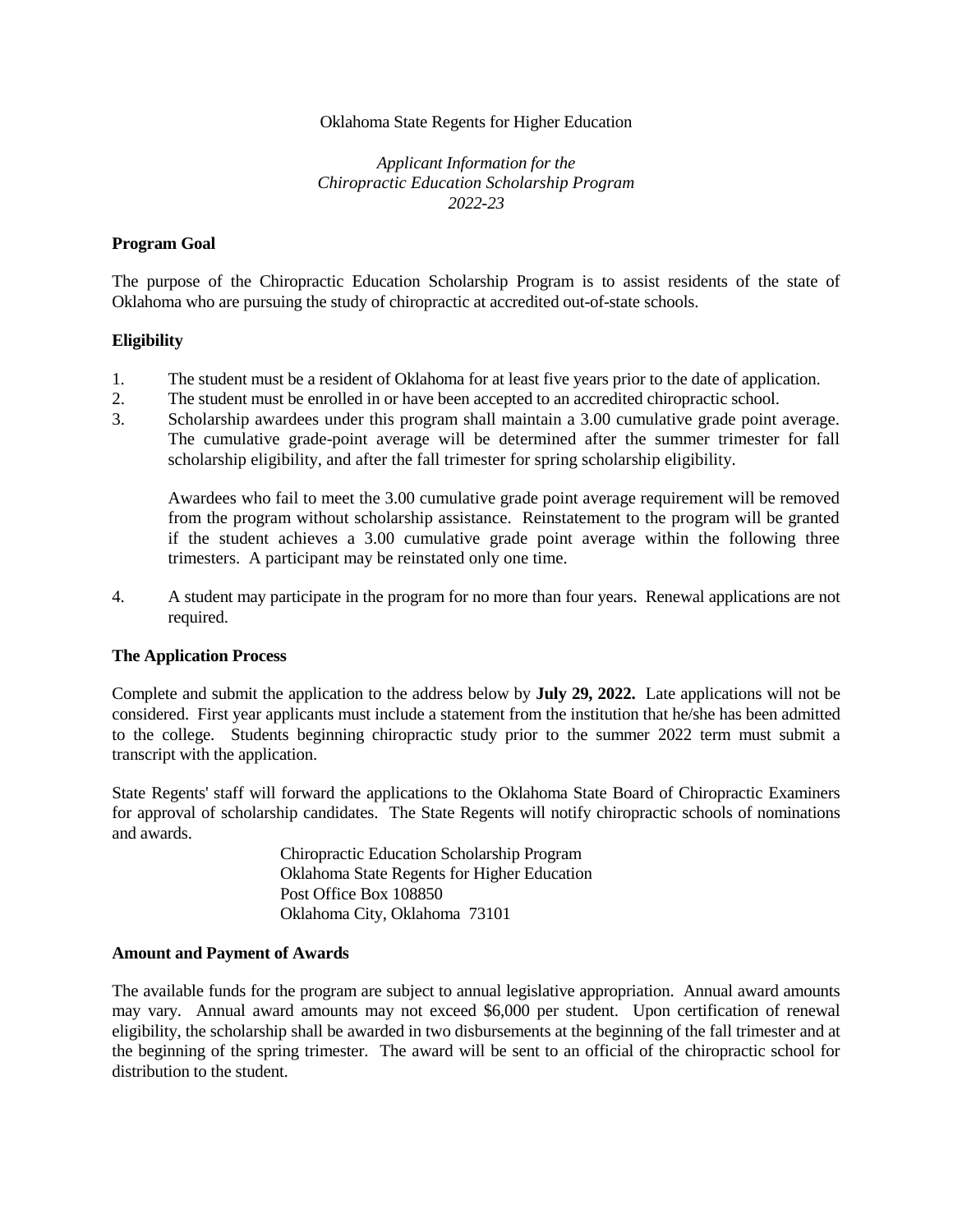### Oklahoma State Regents for Higher Education

*Applicant Information for the Chiropractic Education Scholarship Program 2022-23*

### **Program Goal**

The purpose of the Chiropractic Education Scholarship Program is to assist residents of the state of Oklahoma who are pursuing the study of chiropractic at accredited out-of-state schools.

### **Eligibility**

- 1. The student must be a resident of Oklahoma for at least five years prior to the date of application.
- 2. The student must be enrolled in or have been accepted to an accredited chiropractic school.
- 3. Scholarship awardees under this program shall maintain a 3.00 cumulative grade point average. The cumulative grade-point average will be determined after the summer trimester for fall scholarship eligibility, and after the fall trimester for spring scholarship eligibility.

Awardees who fail to meet the 3.00 cumulative grade point average requirement will be removed from the program without scholarship assistance. Reinstatement to the program will be granted if the student achieves a 3.00 cumulative grade point average within the following three trimesters. A participant may be reinstated only one time.

4. A student may participate in the program for no more than four years. Renewal applications are not required.

### **The Application Process**

Complete and submit the application to the address below by **July 29, 2022.** Late applications will not be considered. First year applicants must include a statement from the institution that he/she has been admitted to the college. Students beginning chiropractic study prior to the summer 2022 term must submit a transcript with the application.

State Regents' staff will forward the applications to the Oklahoma State Board of Chiropractic Examiners for approval of scholarship candidates. The State Regents will notify chiropractic schools of nominations and awards.

> Chiropractic Education Scholarship Program Oklahoma State Regents for Higher Education Post Office Box 108850 Oklahoma City, Oklahoma 73101

### **Amount and Payment of Awards**

The available funds for the program are subject to annual legislative appropriation. Annual award amounts may vary. Annual award amounts may not exceed \$6,000 per student. Upon certification of renewal eligibility, the scholarship shall be awarded in two disbursements at the beginning of the fall trimester and at the beginning of the spring trimester. The award will be sent to an official of the chiropractic school for distribution to the student.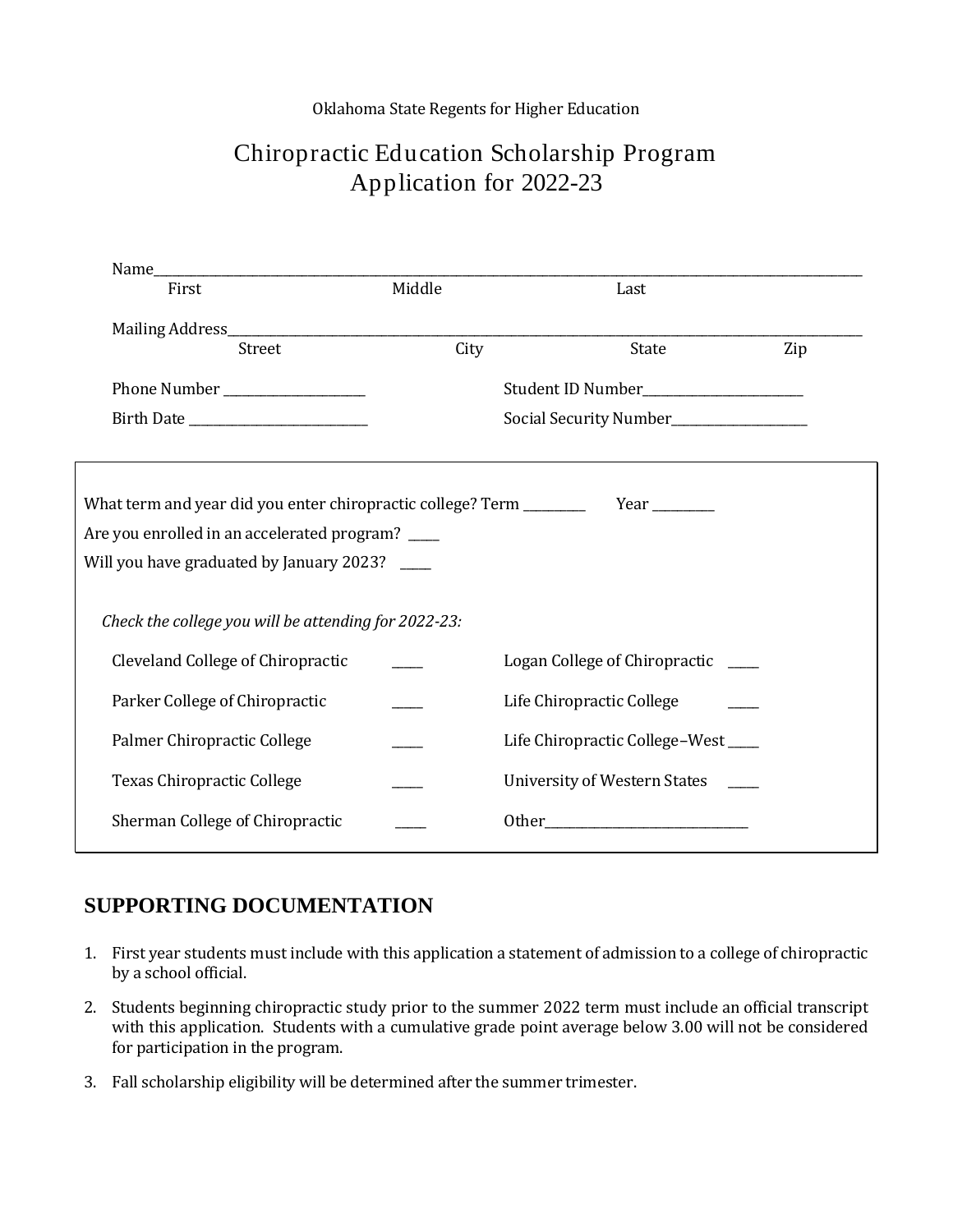## Oklahoma State Regents for Higher Education

# Chiropractic Education Scholarship Program Application for 2022-23

| Name_                                                                                                                                                          |        |                                                                                                                                |     |
|----------------------------------------------------------------------------------------------------------------------------------------------------------------|--------|--------------------------------------------------------------------------------------------------------------------------------|-----|
| First                                                                                                                                                          | Middle | Last                                                                                                                           |     |
|                                                                                                                                                                |        |                                                                                                                                |     |
| Street                                                                                                                                                         | City   | State                                                                                                                          | Zip |
|                                                                                                                                                                |        | Student ID Number <b>Student ID</b> Number                                                                                     |     |
|                                                                                                                                                                |        |                                                                                                                                |     |
|                                                                                                                                                                |        |                                                                                                                                |     |
| What term and year did you enter chiropractic college? Term _______<br>Are you enrolled in an accelerated program?<br>Will you have graduated by January 2023? |        |                                                                                                                                |     |
| Check the college you will be attending for 2022-23:                                                                                                           |        |                                                                                                                                |     |
| Cleveland College of Chiropractic                                                                                                                              |        | Logan College of Chiropractic ____                                                                                             |     |
| Parker College of Chiropractic                                                                                                                                 |        | Life Chiropractic College                                                                                                      |     |
| Palmer Chiropractic College                                                                                                                                    |        | Life Chiropractic College-West                                                                                                 |     |
| <b>Texas Chiropractic College</b>                                                                                                                              |        | University of Western States ____                                                                                              |     |
| Sherman College of Chiropractic                                                                                                                                |        | Other_<br><u> 1989 - Johann John Stone, mars eta bainar eta industrial eta industrial eta industrial eta industrial eta in</u> |     |
|                                                                                                                                                                |        |                                                                                                                                |     |

# **SUPPORTING DOCUMENTATION**

- 1. First year students must include with this application a statement of admission to a college of chiropractic by a school official.
- 2. Students beginning chiropractic study prior to the summer 2022 term must include an official transcript with this application. Students with a cumulative grade point average below 3.00 will not be considered for participation in the program.
- 3. Fall scholarship eligibility will be determined after the summer trimester.